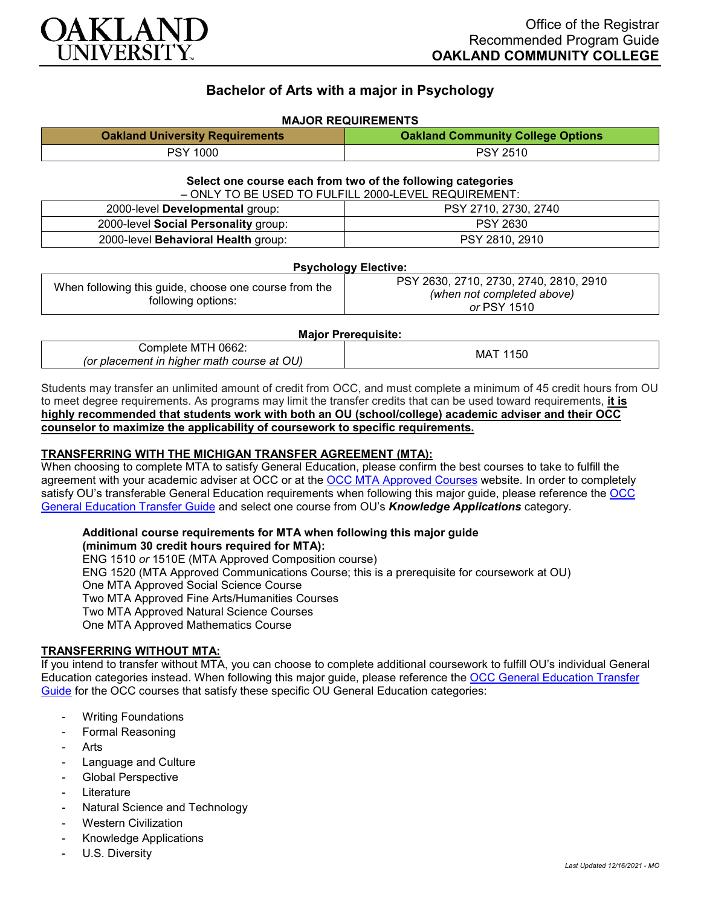

# **Bachelor of Arts with a major in Psychology**

# **MAJOR REQUIREMENTS**

| <b>Oakland University Requirements</b> | <b>Oakland Community College Options</b> |
|----------------------------------------|------------------------------------------|
| PSY 1000                               | <b>PSY 2510</b>                          |

## **Select one course each from two of the following categories**

| - ONLY TO BE USED TO FULFILL 2000-LEVEL REQUIREMENT: |                      |  |
|------------------------------------------------------|----------------------|--|
| 2000-level Developmental group:                      | PSY 2710, 2730, 2740 |  |
| 2000-level Social Personality group:                 | <b>PSY 2630</b>      |  |
| 2000-level Behavioral Health group:                  | PSY 2810, 2910       |  |

### **Psychology Elective:**

| When following this guide, choose one course from the<br>following options: | PSY 2630, 2710, 2730, 2740, 2810, 2910 |
|-----------------------------------------------------------------------------|----------------------------------------|
|                                                                             | (when not completed above)             |
|                                                                             | or PSY 1510                            |

#### **Major Prerequisite:**

| Complete MTH 0662:                         | 150<br>MA. |
|--------------------------------------------|------------|
| (or placement in higher math course at OU) |            |

Students may transfer an unlimited amount of credit from OCC, and must complete a minimum of 45 credit hours from OU to meet degree requirements. As programs may limit the transfer credits that can be used toward requirements, **it is highly recommended that students work with both an OU (school/college) academic adviser and their OCC counselor to maximize the applicability of coursework to specific requirements.**

# **TRANSFERRING WITH THE MICHIGAN TRANSFER AGREEMENT (MTA):**

When choosing to complete MTA to satisfy General Education, please confirm the best courses to take to fulfill the agreement with your academic adviser at OCC or at the [OCC MTA Approved Courses](http://catalog.oaklandcc.edu/graduation-requirements/michigan-transfer-agreement/) website. In order to completely satisfy OU's transferable General Education requirements when following this major guide, please reference the [OCC](https://www.oakland.edu/Assets/Oakland/program-guides/oakland-community-college/university-general-education-requirements/OCC%20Gen%20Ed.pdf)  [General Education Transfer Guide](https://www.oakland.edu/Assets/Oakland/program-guides/oakland-community-college/university-general-education-requirements/OCC%20Gen%20Ed.pdf) and select one course from OU's *Knowledge Applications* category.

#### **Additional course requirements for MTA when following this major guide (minimum 30 credit hours required for MTA):**

ENG 1510 *or* 1510E (MTA Approved Composition course) ENG 1520 (MTA Approved Communications Course; this is a prerequisite for coursework at OU) One MTA Approved Social Science Course Two MTA Approved Fine Arts/Humanities Courses Two MTA Approved Natural Science Courses One MTA Approved Mathematics Course

# **TRANSFERRING WITHOUT MTA:**

If you intend to transfer without MTA, you can choose to complete additional coursework to fulfill OU's individual General Education categories instead. When following this major guide, please reference the [OCC General Education Transfer](https://www.oakland.edu/Assets/Oakland/program-guides/oakland-community-college/university-general-education-requirements/OCC%20Gen%20Ed.pdf)  [Guide](https://www.oakland.edu/Assets/Oakland/program-guides/oakland-community-college/university-general-education-requirements/OCC%20Gen%20Ed.pdf) for the OCC courses that satisfy these specific OU General Education categories:

- **Writing Foundations**
- Formal Reasoning
- **Arts**
- Language and Culture
- Global Perspective
- **Literature**
- Natural Science and Technology
- **Western Civilization**
- Knowledge Applications
- U.S. Diversity